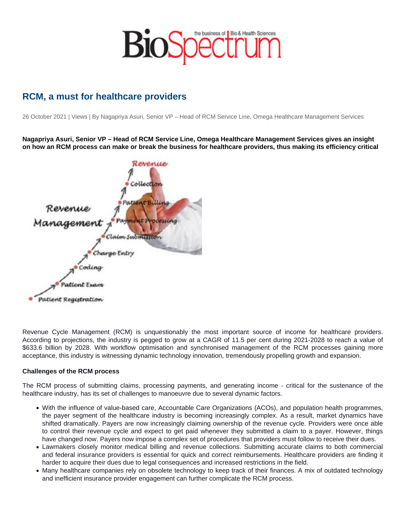## RCM, a must for healthcare providers

26 October 2021 | Views | By Nagapriya Asuri, Senior VP – Head of RCM Service Line, Omega Healthcare Management Services

Nagapriya Asuri, Senior VP – Head of RCM Service Line, Omega Healthcare Management Services gives an insight on how an RCM process can make or break the business for healthcare providers, thus making its efficiency critical

Revenue Cycle Management (RCM) is unquestionably the most important source of income for healthcare providers. According to projections, the industry is pegged to grow at a CAGR of 11.5 per cent during 2021-2028 to reach a value of \$633.6 billion by 2028. With workflow optimisation and synchronised management of the RCM processes gaining more acceptance, this industry is witnessing dynamic technology innovation, tremendously propelling growth and expansion.

## Challenges of the RCM process

The RCM process of submitting claims, processing payments, and generating income - critical for the sustenance of the healthcare industry, has its set of challenges to manoeuvre due to several dynamic factors.

- With the influence of value-based care, Accountable Care Organizations (ACOs), and population health programmes, the payer segment of the healthcare industry is becoming increasingly complex. As a result, market dynamics have shifted dramatically. Payers are now increasingly claiming ownership of the revenue cycle. Providers were once able to control their revenue cycle and expect to get paid whenever they submitted a claim to a payer. However, things have changed now. Payers now impose a complex set of procedures that providers must follow to receive their dues.
- Lawmakers closely monitor medical billing and revenue collections. Submitting accurate claims to both commercial and federal insurance providers is essential for quick and correct reimbursements. Healthcare providers are finding it harder to acquire their dues due to legal consequences and increased restrictions in the field.
- Many healthcare companies rely on obsolete technology to keep track of their finances. A mix of outdated technology and inefficient insurance provider engagement can further complicate the RCM process.